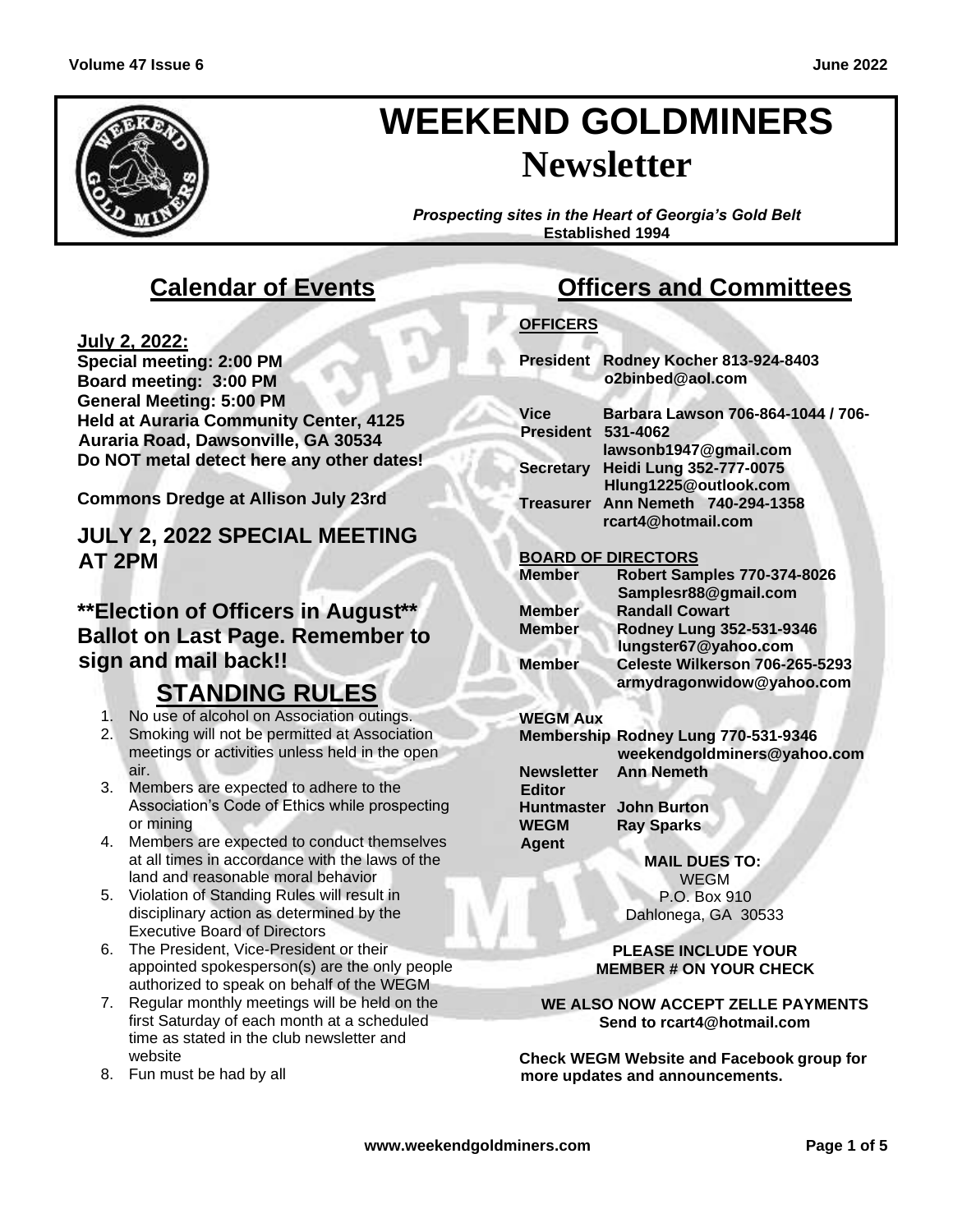

# **WEEKEND GOLDMINERS Newsletter**

*Prospecting sites in the Heart of Georgia's Gold Belt* **Established 1994**

# **Calendar of Events**

**July 2, 2022:**

**Special meeting: 2:00 PM Board meeting: 3:00 PM General Meeting: 5:00 PM Held at Auraria Community Center, 4125 Auraria Road, Dawsonville, GA 30534 Do NOT metal detect here any other dates!**

**Commons Dredge at Allison July 23rd**

**JULY 2, 2022 SPECIAL MEETING AT 2PM**

### **\*\*Election of Officers in August\*\* Ballot on Last Page. Remember to sign and mail back!!**

# **STANDING RULES**

- 1. No use of alcohol on Association outings.
- 2. Smoking will not be permitted at Association meetings or activities unless held in the open air.
- 3. Members are expected to adhere to the Association's Code of Ethics while prospecting or mining
- 4. Members are expected to conduct themselves at all times in accordance with the laws of the land and reasonable moral behavior
- 5. Violation of Standing Rules will result in disciplinary action as determined by the Executive Board of Directors
- 6. The President, Vice-President or their appointed spokesperson(s) are the only people authorized to speak on behalf of the WEGM
- 7. Regular monthly meetings will be held on the first Saturday of each month at a scheduled time as stated in the club newsletter and website
- 8. Fun must be had by all

# **Officers and Committees**

### **OFFICERS**

**President Rodney Kocher 813-924-8403 o2binbed@aol.com**

| Vice                      | Barbara Lawson 706-864-1044 / 706- |
|---------------------------|------------------------------------|
| <b>President 531-4062</b> |                                    |
|                           | lawsonb1947@gmail.com              |
|                           | Secretary Heidi Lung 352-777-0075  |
|                           | Hlung1225@outlook.com              |
|                           | Treasurer Ann Nemeth 740-294-1358  |
|                           | rcart4@hotmail.com                 |
|                           |                                    |

### **BOARD OF DIRECTORS**

| <b>Member</b> | <b>Robert Samples 770-374-8026</b> |
|---------------|------------------------------------|
|               | Samplesr88@gmail.com               |
| <b>Member</b> | <b>Randall Cowart</b>              |
| <b>Member</b> | Rodney Lung 352-531-9346           |
|               | lungster67@yahoo.com               |
| <b>Member</b> | Celeste Wilkerson 706-265-5293     |
|               | armydragonwidow@yahoo.com          |

### **WEGM Aux**

**Agent**

**Membership Rodney Lung 770-531-9346 weekendgoldminers@yahoo.com Newsletter Editor Ann Nemeth Huntmaster John Burton WEGM Ray Sparks**

> **MAIL DUES TO:** WEGM P.O. Box 910 Dahlonega, GA 30533

**PLEASE INCLUDE YOUR MEMBER # ON YOUR CHECK**

#### **WE ALSO NOW ACCEPT ZELLE PAYMENTS Send to rcart4@hotmail.com**

**Check WEGM Website and Facebook group for more updates and announcements.**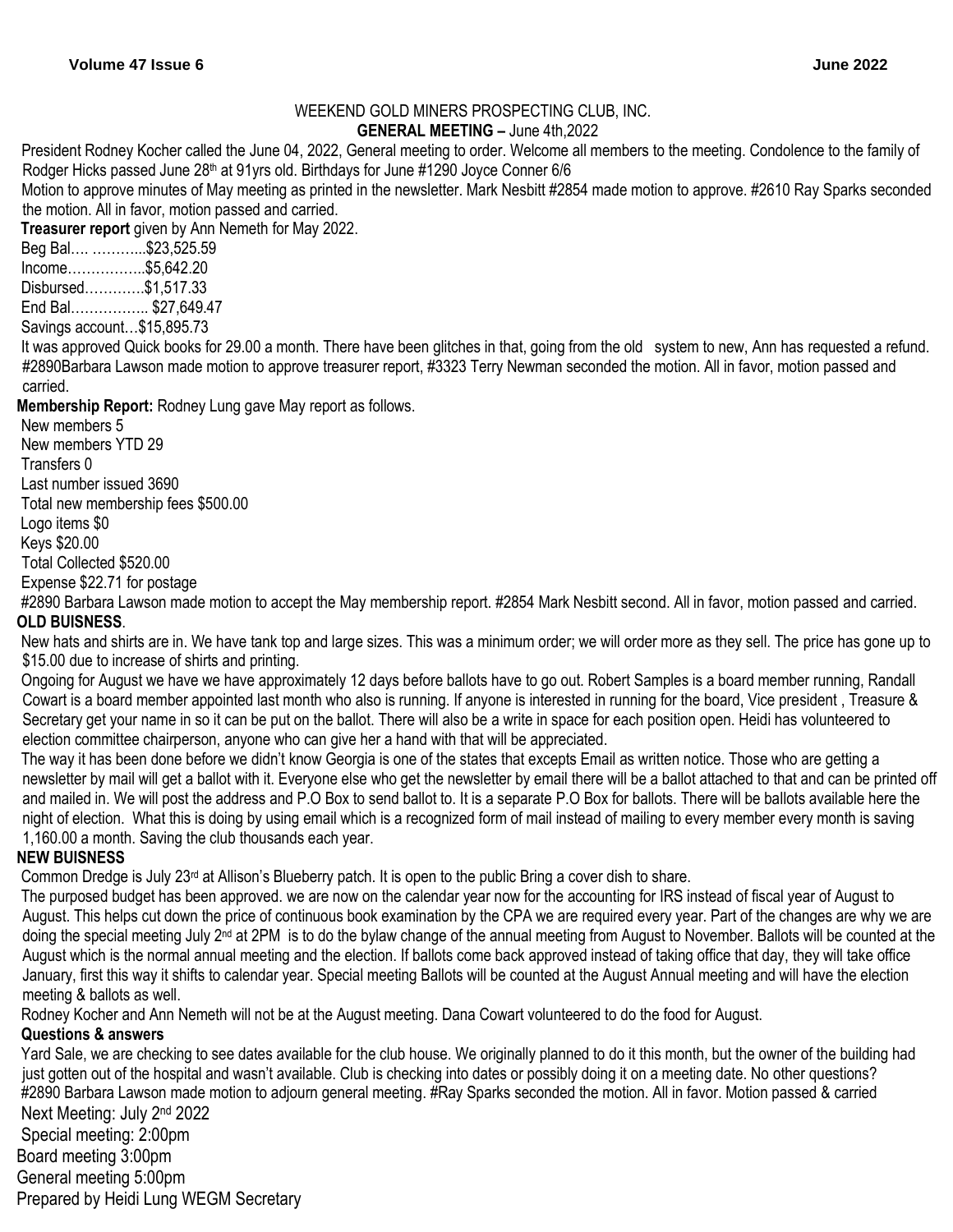### WEEKEND GOLD MINERS PROSPECTING CLUB, INC.

**GENERAL MEETING –** June 4th,2022

President Rodney Kocher called the June 04, 2022, General meeting to order. Welcome all members to the meeting. Condolence to the family of Rodger Hicks passed June 28<sup>th</sup> at 91yrs old. Birthdays for June #1290 Joyce Conner 6/6

Motion to approve minutes of May meeting as printed in the newsletter. Mark Nesbitt #2854 made motion to approve. #2610 Ray Sparks seconded the motion. All in favor, motion passed and carried.

**Treasurer report** given by Ann Nemeth for May 2022.

Beg Bal…. ………...\$23,525.59

Income……………..\$5,642.20

Disbursed………….\$1,517.33

End Bal…………….. \$27,649.47

Savings account…\$15,895.73

It was approved Quick books for 29.00 a month. There have been glitches in that, going from the old system to new, Ann has requested a refund. #2890Barbara Lawson made motion to approve treasurer report, #3323 Terry Newman seconded the motion. All in favor, motion passed and carried.

**Membership Report:** Rodney Lung gave May report as follows.

New members 5 New members YTD 29 Transfers 0 Last number issued 3690 Total new membership fees \$500.00 Logo items \$0 Keys \$20.00 Total Collected \$520.00 Expense \$22.71 for postage

#2890 Barbara Lawson made motion to accept the May membership report. #2854 Mark Nesbitt second. All in favor, motion passed and carried. **OLD BUISNESS**.

New hats and shirts are in. We have tank top and large sizes. This was a minimum order; we will order more as they sell. The price has gone up to \$15.00 due to increase of shirts and printing.

Ongoing for August we have we have approximately 12 days before ballots have to go out. Robert Samples is a board member running, Randall Cowart is a board member appointed last month who also is running. If anyone is interested in running for the board, Vice president , Treasure & Secretary get your name in so it can be put on the ballot. There will also be a write in space for each position open. Heidi has volunteered to election committee chairperson, anyone who can give her a hand with that will be appreciated.

The way it has been done before we didn't know Georgia is one of the states that excepts Email as written notice. Those who are getting a newsletter by mail will get a ballot with it. Everyone else who get the newsletter by email there will be a ballot attached to that and can be printed off and mailed in. We will post the address and P.O Box to send ballot to. It is a separate P.O Box for ballots. There will be ballots available here the night of election. What this is doing by using email which is a recognized form of mail instead of mailing to every member every month is saving 1,160.00 a month. Saving the club thousands each year.

### **NEW BUISNESS**

Common Dredge is July  $23<sup>rd</sup>$  at Allison's Blueberry patch. It is open to the public Bring a cover dish to share.

The purposed budget has been approved. we are now on the calendar year now for the accounting for IRS instead of fiscal year of August to August. This helps cut down the price of continuous book examination by the CPA we are required every year. Part of the changes are why we are doing the special meeting July 2<sup>nd</sup> at 2PM is to do the bylaw change of the annual meeting from August to November. Ballots will be counted at the August which is the normal annual meeting and the election. If ballots come back approved instead of taking office that day, they will take office January, first this way it shifts to calendar year. Special meeting Ballots will be counted at the August Annual meeting and will have the election meeting & ballots as well.

Rodney Kocher and Ann Nemeth will not be at the August meeting. Dana Cowart volunteered to do the food for August.

### **Questions & answers**

Yard Sale, we are checking to see dates available for the club house. We originally planned to do it this month, but the owner of the building had just gotten out of the hospital and wasn't available. Club is checking into dates or possibly doing it on a meeting date. No other questions? #2890 Barbara Lawson made motion to adjourn general meeting. #Ray Sparks seconded the motion. All in favor. Motion passed & carried Next Meeting: July 2nd 2022

Special meeting: 2:00pm Board meeting 3:00pm General meeting 5:00pm Prepared by Heidi Lung WEGM Secretary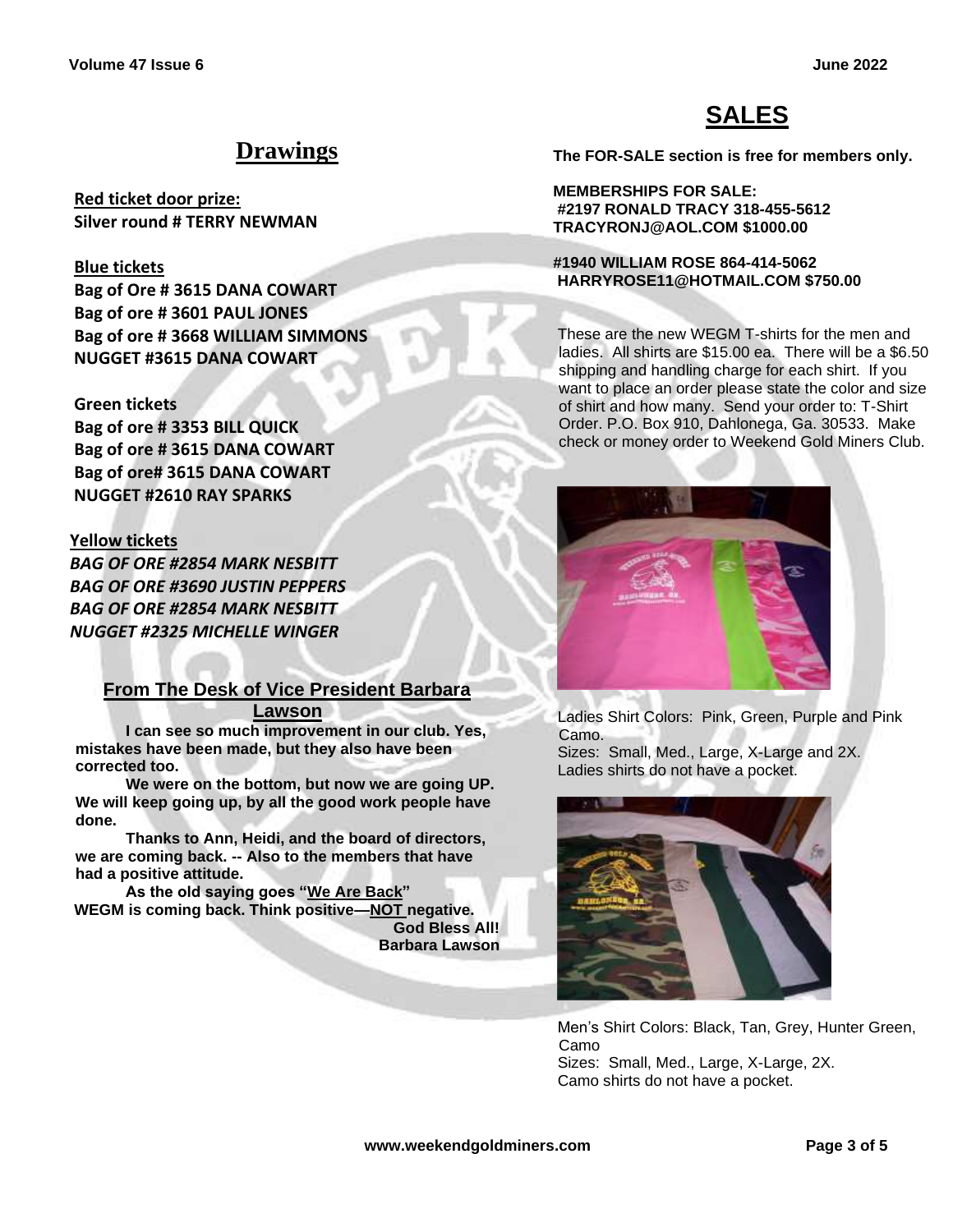# **SALES**

#### **The FOR-SALE section is free for members only.**

**MEMBERSHIPS FOR SALE: #2197 RONALD TRACY 318-455-5612 TRACYRONJ@AOL.COM \$1000.00**

#### **#1940 WILLIAM ROSE 864-414-5062 HARRYROSE11@HOTMAIL.COM \$750.00**

These are the new WEGM T-shirts for the men and ladies. All shirts are \$15.00 ea. There will be a \$6.50 shipping and handling charge for each shirt. If you want to place an order please state the color and size of shirt and how many. Send your order to: T-Shirt Order. P.O. Box 910, Dahlonega, Ga. 30533. Make check or money order to Weekend Gold Miners Club.



Ladies Shirt Colors: Pink, Green, Purple and Pink Camo.

Sizes: Small, Med., Large, X-Large and 2X. Ladies shirts do not have a pocket.



Men's Shirt Colors: Black, Tan, Grey, Hunter Green, Camo Sizes: Small, Med., Large, X-Large, 2X. Camo shirts do not have a pocket.

**Drawings**

**Red ticket door prize: Silver round # TERRY NEWMAN**

#### **Blue tickets**

**Bag of Ore # 3615 DANA COWART Bag of ore # 3601 PAUL JONES Bag of ore # 3668 WILLIAM SIMMONS NUGGET #3615 DANA COWART**

### **Green tickets**

**Bag of ore # 3353 BILL QUICK Bag of ore # 3615 DANA COWART Bag of ore# 3615 DANA COWART NUGGET #2610 RAY SPARKS**

### **Yellow tickets**

*BAG OF ORE #2854 MARK NESBITT BAG OF ORE #3690 JUSTIN PEPPERS BAG OF ORE #2854 MARK NESBITT NUGGET #2325 MICHELLE WINGER*

### **From The Desk of Vice President Barbara**

**Lawson**

**I can see so much improvement in our club. Yes, mistakes have been made, but they also have been corrected too.** 

**We were on the bottom, but now we are going UP. We will keep going up, by all the good work people have done.** 

**Thanks to Ann, Heidi, and the board of directors, we are coming back. -- Also to the members that have had a positive attitude.** 

**As the old saying goes "We Are Back" WEGM is coming back. Think positive—NOT negative.**

**God Bless All! Barbara Lawson**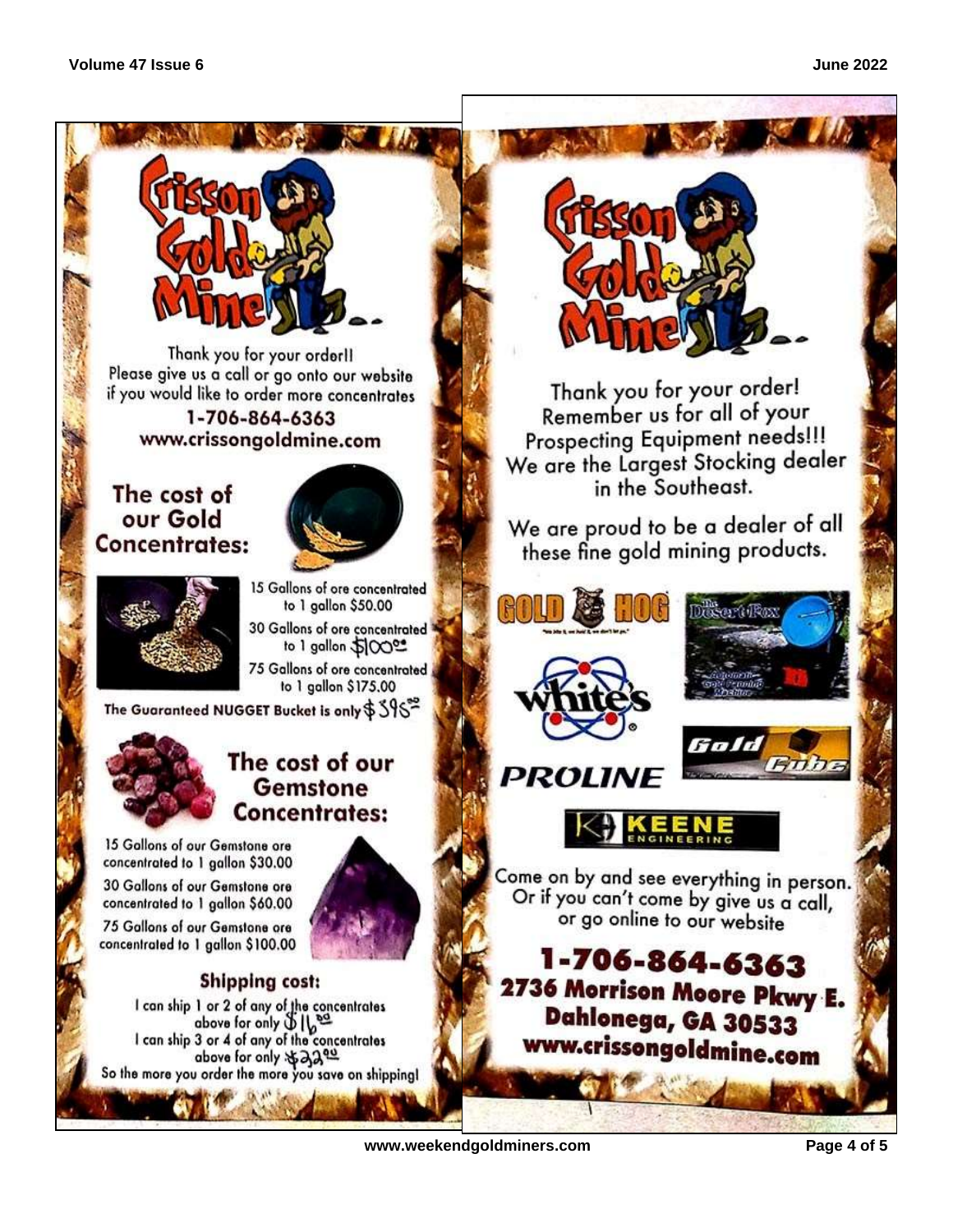

Thank you for your orderll Please give us a call or go onto our website if you would like to order more concentrates 1-706-864-6363 www.crissongoldmine.com

### The cost of our Gold Concentrates:





15 Gallons of ore concentrated to 1 gallon \$50.00 30 Gallons of ore concentrated

to 1 gallon 50000 75 Gallons of ore concentrated to 1 gallon \$175.00

The Guaranteed NUGGET Bucket is only  $\$$   $\mathrm{\mathbb{S}}\mathrm{\mathbb{S}}^{\approx}$ 



### The cost of our **Gemstone** Concentrates:

15 Gallons of our Gemstone ore concentrated to 1 gallon \$30.00

30 Gallons of our Gemstone ore concentrated to 1 gallon \$60.00

75 Gallons of our Gemstone ore concentrated to 1 gallon \$100.00



### **Shipping cost:**

I can ship 1 or 2 of any of the concentrates<br>above for only  $\bigcup_{k=1}^{\infty} \bigcup_{k=1}^{\infty}$ <br>I can ship 3 or 4 of any of the concentrates above for only \*320g So the more you order the more you save on shipping!



Thank you for your order! Remember us for all of your Prospecting Equipment needs!!! We are the Largest Stocking dealer in the Southeast.

We are proud to be a dealer of all these fine gold mining products.





Come on by and see everything in person. Or if you can't come by give us a call, or go online to our website

1-706-864-6363 2736 Morrison Moore Pkwy E. Dahlonega, GA 30533 www.crissongoldmine.com

www.weekendgoldminers.com